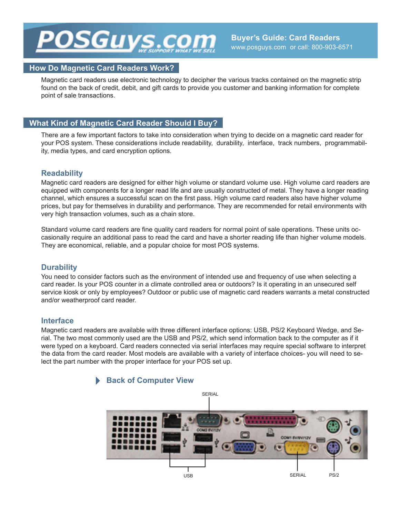## *ISGUV*

#### **How Do Magnetic Card Readers Work?**

Magnetic card readers use electronic technology to decipher the various tracks contained on the magnetic strip found on the back of credit, debit, and gift cards to provide you customer and banking information for complete point of sale transactions.

## **What Kind of Magnetic Card Reader Should I Buy?**

There are a few important factors to take into consideration when trying to decide on a magnetic card reader for your POS system. These considerations include readability, durability, interface, track numbers, programmability, media types, and card encryption options.

## **Readability**

Magnetic card readers are designed for either high volume or standard volume use. High volume card readers are equipped with components for a longer read life and are usually constructed of metal. They have a longer reading channel, which ensures a successful scan on the first pass. High volume card readers also have higher volume prices, but pay for themselves in durability and performance. They are recommended for retail environments with very high transaction volumes, such as a chain store.

Standard volume card readers are fine quality card readers for normal point of sale operations. These units occasionally require an additional pass to read the card and have a shorter reading life than higher volume models. They are economical, reliable, and a popular choice for most POS systems.

## **Durability**

You need to consider factors such as the environment of intended use and frequency of use when selecting a card reader. Is your POS counter in a climate controlled area or outdoors? Is it operating in an unsecured self service kiosk or only by employees? Outdoor or public use of magnetic card readers warrants a metal constructed and/or weatherproof card reader.

#### **Interface**

Magnetic card readers are available with three different interface options: USB, PS/2 Keyboard Wedge, and Serial. The two most commonly used are the USB and PS/2, which send information back to the computer as if it were typed on a keyboard. Card readers connected via serial interfaces may require special software to interpret the data from the card reader. Most models are available with a variety of interface choices- you will need to select the part number with the proper interface for your POS set up.

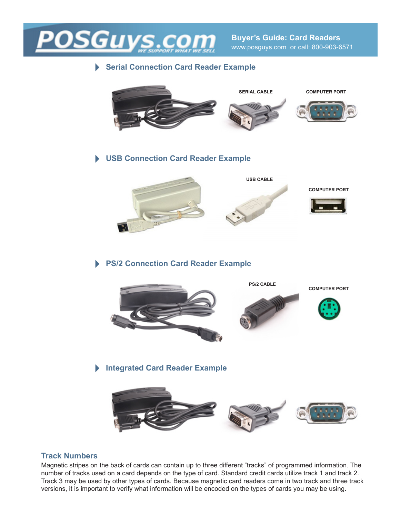

## **Serial Connection Card Reader Example**



**USB Connection Card Reader Example**



## **PS/2 Connection Card Reader Example**



**Integrated Card Reader Example**



## **Track Numbers**

Magnetic stripes on the back of cards can contain up to three different "tracks" of programmed information. The number of tracks used on a card depends on the type of card. Standard credit cards utilize track 1 and track 2. Track 3 may be used by other types of cards. Because magnetic card readers come in two track and three track versions, it is important to verify what information will be encoded on the types of cards you may be using.